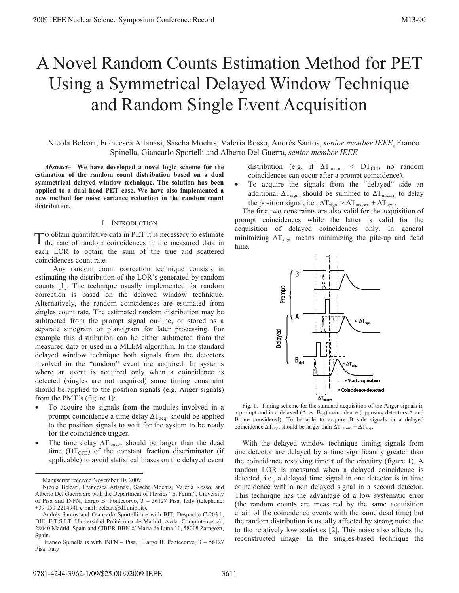# A Novel Random Counts Estimation Method for PET Using a Symmetrical Delayed Window Technique and Random Single Event Acquisition

Nicola Belcari, Francesca Attanasi, Sascha Moehrs, Valeria Rosso, Andrés Santos, *senior member IEEE*, Franco Spinella, Giancarlo Sportelli and Alberto Del Guerra, *senior member IEEE*

 *Abstract–* **We have developed a novel logic scheme for the estimation of the random count distribution based on a dual symmetrical delayed window technique. The solution has been applied to a dual head PET case. We have also implemented a new method for noise variance reduction in the random count distribution.** 

#### I. INTRODUCTION

O obtain quantitative data in PET it is necessary to estimate To obtain quantitative data in PET it is necessary to estimate<br>the rate of random coincidences in the measured data in each LOR to obtain the sum of the true and scattered coincidences count rate.

Any random count correction technique consists in estimating the distribution of the LOR's generated by random counts [1]. The technique usually implemented for random correction is based on the delayed window technique. Alternatively, the random coincidences are estimated from singles count rate. The estimated random distribution may be subtracted from the prompt signal on-line, or stored as a separate sinogram or planogram for later processing. For example this distribution can be either subtracted from the measured data or used in a MLEM algorithm. In the standard delayed window technique both signals from the detectors involved in the "random" event are acquired. In systems where an event is acquired only when a coincidence is detected (singles are not acquired) some timing constraint should be applied to the position signals (e.g. Anger signals) from the PMT's (figure 1):

- To acquire the signals from the modules involved in a prompt coincidence a time delay  $\Delta T_{\text{aca}}$ . should be applied to the position signals to wait for the system to be ready for the coincidence trigger.
- The time delay  $\Delta T_{\text{uncorr}}$  should be larger than the dead time  $(DT_{CFD})$  of the constant fraction discriminator (if applicable) to avoid statistical biases on the delayed event

Manuscript received November 10, 2009.

distribution (e.g. if  $\Delta T_{\text{uncorr.}} \leq DT_{\text{CFD}}$  no random coincidences can occur after a prompt coincidence).

• To acquire the signals from the "delayed" side an additional  $\Delta T_{sign.}$  should be summed to  $\Delta T_{uncorr.}$  to delay the position signal, i.e.,  $\Delta T_{sign.} > \Delta T_{uncorr.} + \Delta T_{acq.}$ .

The first two constraints are also valid for the acquisition of prompt coincidences while the latter is valid for the acquisition of delayed coincidences only. In general minimizing  $\Delta T_{sign.}$  means minimizing the pile-up and dead time.



a prompt and in a delayed (A vs.  $B_{\text{del}}$ ) coincidence (opposing detectors A and B are considered). To be able to acquire B side signals in a delayed coincidence  $\Delta T_{sign}$ . should be larger than  $\Delta T_{uncorr}$ . +  $\Delta T_{acq}$ .

With the delayed window technique timing signals from one detector are delayed by a time significantly greater than the coincidence resolving time  $\tau$  of the circuitry (figure 1). A random LOR is measured when a delayed coincidence is detected, i.e., a delayed time signal in one detector is in time coincidence with a non delayed signal in a second detector. This technique has the advantage of a low systematic error (the random counts are measured by the same acquisition chain of the coincidence events with the same dead time) but the random distribution is usually affected by strong noise due to the relatively low statistics [2]. This noise also affects the reconstructed image. In the singles-based technique the

Nicola Belcari, Francesca Attanasi, Sascha Moehrs, Valeria Rosso, and Alberto Del Guerra are with the Department of Physics "E. Fermi", University of Pisa and INFN, Largo B. Pontecorvo, 3 – 56127 Pisa, Italy (telephone: +39-050-2214941 e-mail: belcari@df.unipi.it).

Andrés Santos and Giancarlo Sportelli are with BIT, Despacho C-203.1, DIE, E.T.S.I.T. Universidad Politécnica de Madrid, Avda. Complutense s/n, 28040 Madrid, Spain and CIBER-BBN c/ Maria de Luna 11, 58018 Zaragoza, Spain.

Franco Spinella is with INFN – Pisa, , Largo B. Pontecorvo, 3 – 56127 Pisa, Italy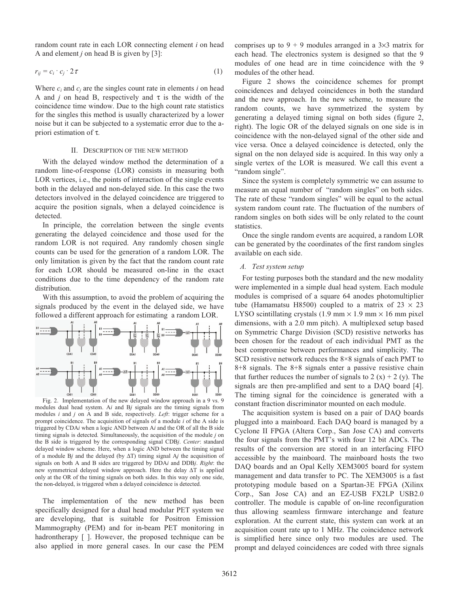random count rate in each LOR connecting element *i* on head A and element *j* on head B is given by [3]:

$$
r_{ij} = c_i \cdot c_j \cdot 2\tau \tag{1}
$$

Where  $c_i$  and  $c_j$  are the singles count rate in elements *i* on head A and *j* on head B, respectively and  $\tau$  is the width of the coincidence time window. Due to the high count rate statistics for the singles this method is usually characterized by a lower noise but it can be subjected to a systematic error due to the apriori estimation of τ.

### II. DESCRIPTION OF THE NEW METHOD

With the delayed window method the determination of a random line-of-response (LOR) consists in measuring both LOR vertices, i.e., the points of interaction of the single events both in the delayed and non-delayed side. In this case the two detectors involved in the delayed coincidence are triggered to acquire the position signals, when a delayed coincidence is detected.

In principle, the correlation between the single events generating the delayed coincidence and those used for the random LOR is not required. Any randomly chosen single counts can be used for the generation of a random LOR. The only limitation is given by the fact that the random count rate for each LOR should be measured on-line in the exact conditions due to the time dependency of the random rate distribution.

With this assumption, to avoid the problem of acquiring the signals produced by the event in the delayed side, we have followed a different approach for estimating a random LOR.



Fig. 2. Implementation of the new delayed window approach in a 9 vs. 9 modules dual head system. A*i* and B*j* signals are the timing signals from modules *i* and *j* on A and B side, respectively. *Left*: trigger scheme for a prompt coincidence. The acquisition of signals of a module *i* of the A side is triggered by CDA*i* when a logic AND between A*i* and the OR of all the B side timing signals is detected. Simultaneously, the acquisition of the module *j* on the B side is triggered by the corresponding signal CDB*j*. *Center*: standard delayed window scheme. Here, when a logic AND between the timing signal of a module B*j* and the delayed (by ΔT) timing signal A*j* the acquisition of signals on both A and B sides are triggered by DDA*i* and DDB*j*. *Right*: the new symmetrical delayed window approach. Here the delay ΔT is applied only at the OR of the timing signals on both sides. In this way only one side, the non-delayed, is triggered when a delayed coincidence is detected.

The implementation of the new method has been specifically designed for a dual head modular PET system we are developing, that is suitable for Positron Emission Mammography (PEM) and for in-beam PET monitoring in hadrontherapy [ ]. However, the proposed technique can be also applied in more general cases. In our case the PEM

comprises up to  $9 + 9$  modules arranged in a  $3\times3$  matrix for each head. The electronics system is designed so that the 9 modules of one head are in time coincidence with the 9 modules of the other head.

Figure 2 shows the coincidence schemes for prompt coincidences and delayed coincidences in both the standard and the new approach. In the new scheme, to measure the random counts, we have symmetrized the system by generating a delayed timing signal on both sides (figure 2, right). The logic OR of the delayed signals on one side is in coincidence with the non-delayed signal of the other side and vice versa. Once a delayed coincidence is detected, only the signal on the non delayed side is acquired. In this way only a single vertex of the LOR is measured. We call this event a "random single".

Since the system is completely symmetric we can assume to measure an equal number of "random singles" on both sides. The rate of these "random singles" will be equal to the actual system random count rate. The fluctuation of the numbers of random singles on both sides will be only related to the count statistics.

Once the single random events are acquired, a random LOR can be generated by the coordinates of the first random singles available on each side.

## *A. Test system setup*

For testing purposes both the standard and the new modality were implemented in a simple dual head system. Each module modules is comprised of a square 64 anodes photomultiplier tube (Hamamatsu H8500) coupled to a matrix of  $23 \times 23$ LYSO scintillating crystals  $(1.9 \text{ mm} \times 1.9 \text{ mm} \times 16 \text{ mm})$  pixel dimensions, with a 2.0 mm pitch). A multiplexed setup based on Symmetric Charge Division (SCD) resistive networks has been chosen for the readout of each individual PMT as the best compromise between performances and simplicity. The SCD resistive network reduces the 8×8 signals of each PMT to 8+8 signals. The 8+8 signals enter a passive resistive chain that further reduces the number of signals to  $2(x) + 2(y)$ . The signals are then pre-amplified and sent to a DAQ board [4]. The timing signal for the coincidence is generated with a constant fraction discriminator mounted on each module.

The acquisition system is based on a pair of DAQ boards plugged into a mainboard. Each DAQ board is managed by a Cyclone II FPGA (Altera Corp., San Jose CA) and converts the four signals from the PMT's with four 12 bit ADCs. The results of the conversion are stored in an interfacing FIFO accessible by the mainboard. The mainboard hosts the two DAQ boards and an Opal Kelly XEM3005 board for system management and data transfer to PC. The XEM3005 is a fast prototyping module based on a Spartan-3E FPGA (Xilinx Corp., San Jose CA) and an EZ-USB FX2LP USB2.0 controller. The module is capable of on-line reconfiguration thus allowing seamless firmware interchange and feature exploration. At the current state, this system can work at an acquisition count rate up to 1 MHz. The coincidence network is simplified here since only two modules are used. The prompt and delayed coincidences are coded with three signals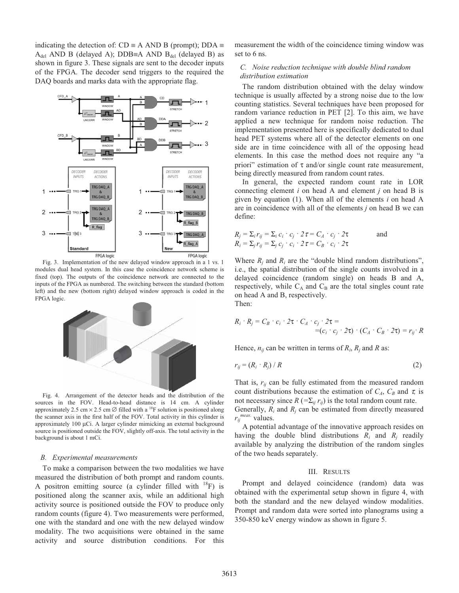indicating the detection of:  $CD \equiv A \text{ AND } B \text{ (prompt)}$ ;  $DDA \equiv$  $A_{del}$  AND B (delayed A); DDB≡A AND B<sub>del</sub> (delayed B) as shown in figure 3. These signals are sent to the decoder inputs of the FPGA. The decoder send triggers to the required the DAQ boards and marks data with the appropriate flag.



modules dual head system. In this case the coincidence network scheme is fixed (top). The outputs of the coincidence network are connected to the inputs of the FPGA as numbered. The switching between the standard (bottom left) and the new (bottom right) delayed window approach is coded in the FPGA logic.



Fig. 4. Arrangement of the detector heads and the distribution of the sources in the FOV. Head-to-head distance is 14 cm. A cylinder approximately 2.5 cm  $\times$  2.5 cm  $\varnothing$  filled with a <sup>18</sup>F solution is positioned along the scanner axis in the first half of the FOV. Total activity in this cylinder is approximately 100 μCi. A larger cylinder mimicking an external background source is positioned outside the FOV, slightly off-axis. The total activity in the background is about 1 mCi.

#### *B. Experimental measurements*

To make a comparison between the two modalities we have measured the distribution of both prompt and random counts. A positron emitting source (a cylinder filled with  $^{18}$ F) is positioned along the scanner axis, while an additional high activity source is positioned outside the FOV to produce only random counts (figure 4). Two measurements were performed, one with the standard and one with the new delayed window modality. The two acquisitions were obtained in the same activity and source distribution conditions. For this measurement the width of the coincidence timing window was set to 6 ns.

# *C. Noise reduction technique with double blind random distribution estimation*

The random distribution obtained with the delay window technique is usually affected by a strong noise due to the low counting statistics. Several techniques have been proposed for random variance reduction in PET [2]. To this aim, we have applied a new technique for random noise reduction. The implementation presented here is specifically dedicated to dual head PET systems where all of the detector elements on one side are in time coincidence with all of the opposing head elements. In this case the method does not require any "a priori" estimation of  $\tau$  and/or single count rate measurement, being directly measured from random count rates.

In general, the expected random count rate in LOR connecting element *i* on head A and element *j* on head B is given by equation (1). When all of the elements *i* on head A are in coincidence with all of the elements *j* on head B we can define:

$$
R_j = \sum_i r_{ij} = \sum_i c_i \cdot c_j \cdot 2\tau = C_A \cdot c_j \cdot 2\tau
$$
 and  

$$
R_i = \sum_j r_{ij} = \sum_j c_j \cdot c_i \cdot 2\tau = C_B \cdot c_i \cdot 2\tau
$$

Where  $R_i$  and  $R_i$  are the "double blind random distributions", i.e., the spatial distribution of the single counts involved in a delayed coincidence (random single) on heads B and A, respectively, while  $C_A$  and  $C_B$  are the total singles count rate on head A and B, respectively.

Then:

$$
R_i \cdot R_j = C_B \cdot c_i \cdot 2\tau \cdot C_A \cdot c_j \cdot 2\tau =
$$
  
=  $(c_i \cdot c_j \cdot 2\tau) \cdot (C_A \cdot C_B \cdot 2\tau) = r_{ij} \cdot R$ 

Hence,  $n_{ij}$  can be written in terms of  $R_i$ ,  $R_j$  and  $R$  as:

$$
r_{ij} = (R_i \cdot R_j) / R \tag{2}
$$

That is,  $r_{ij}$  can be fully estimated from the measured random count distributions because the estimation of  $C_A$ ,  $C_B$  and  $\tau$ , is not necessary since  $R = \sum_{ii} r_{ii}$  is the total random count rate.

Generally, *Ri* and *Rj* can be estimated from directly measured *rij meas.* values.

A potential advantage of the innovative approach resides on having the double blind distributions  $R_i$  and  $R_j$  readily available by analyzing the distribution of the random singles of the two heads separately.

#### III. RESULTS

Prompt and delayed coincidence (random) data was obtained with the experimental setup shown in figure 4, with both the standard and the new delayed window modalities. Prompt and random data were sorted into planograms using a 350-850 keV energy window as shown in figure 5.